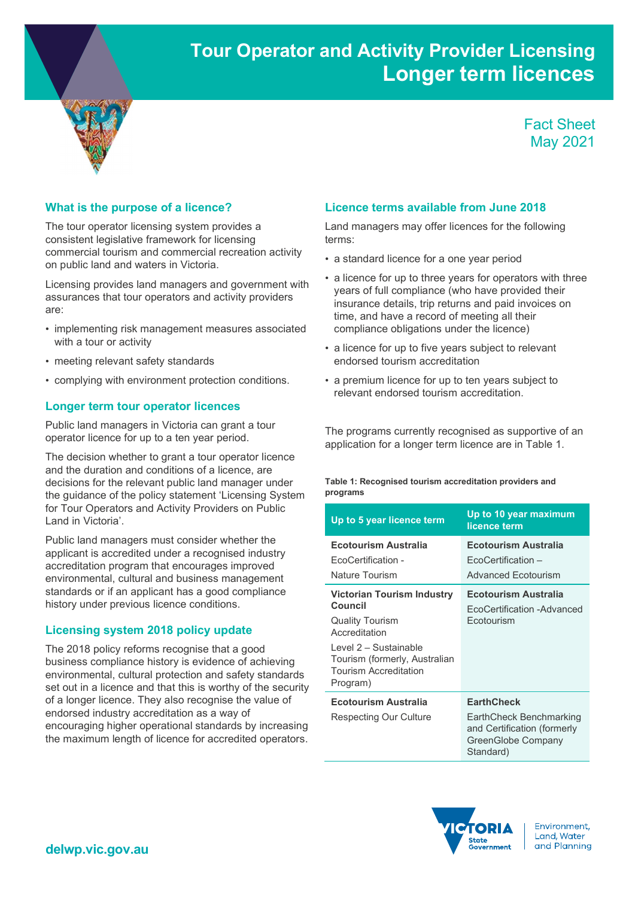# Tour Operator and Activity Provider Licensing Longer term licences



Fact Sheet May 2021

#### What is the purpose of a licence?

The tour operator licensing system provides a consistent legislative framework for licensing commercial tourism and commercial recreation activity on public land and waters in Victoria.

Licensing provides land managers and government with assurances that tour operators and activity providers are:

- implementing risk management measures associated with a tour or activity
- meeting relevant safety standards
- complying with environment protection conditions.

#### Longer term tour operator licences

Public land managers in Victoria can grant a tour operator licence for up to a ten year period.

The decision whether to grant a tour operator licence and the duration and conditions of a licence, are decisions for the relevant public land manager under the guidance of the policy statement 'Licensing System for Tour Operators and Activity Providers on Public Land in Victoria'.

Public land managers must consider whether the applicant is accredited under a recognised industry accreditation program that encourages improved environmental, cultural and business management standards or if an applicant has a good compliance history under previous licence conditions.

### Licensing system 2018 policy update

The 2018 policy reforms recognise that a good business compliance history is evidence of achieving environmental, cultural protection and safety standards set out in a licence and that this is worthy of the security of a longer licence. They also recognise the value of endorsed industry accreditation as a way of encouraging higher operational standards by increasing the maximum length of licence for accredited operators.

#### Licence terms available from June 2018

Land managers may offer licences for the following terms:

- a standard licence for a one year period
- a licence for up to three years for operators with three years of full compliance (who have provided their insurance details, trip returns and paid invoices on time, and have a record of meeting all their compliance obligations under the licence)
- a licence for up to five years subject to relevant endorsed tourism accreditation
- a premium licence for up to ten years subject to relevant endorsed tourism accreditation.

The programs currently recognised as supportive of an application for a longer term licence are in Table 1.

#### Table 1: Recognised tourism accreditation providers and programs

| Up to 5 year licence term                                                                                                                                                                     | Up to 10 year maximum<br>licence term                                                                          |
|-----------------------------------------------------------------------------------------------------------------------------------------------------------------------------------------------|----------------------------------------------------------------------------------------------------------------|
| Ecotourism Australia<br>FcoCertification -<br>Nature Tourism                                                                                                                                  | Ecotourism Australia<br>EcoCertification –<br>Advanced Fcotourism                                              |
| <b>Victorian Tourism Industry</b><br>Council<br><b>Quality Tourism</b><br>Accreditation<br>Level 2 - Sustainable<br>Tourism (formerly, Australian<br><b>Tourism Accreditation</b><br>Program) | Ecotourism Australia<br>FcoCertification -Advanced<br>Fcotourism                                               |
| <b>Ecotourism Australia</b><br>Respecting Our Culture                                                                                                                                         | <b>EarthCheck</b><br>EarthCheck Benchmarking<br>and Certification (formerly<br>GreenGlobe Company<br>Standard) |



Environment. Land, Water and Planning